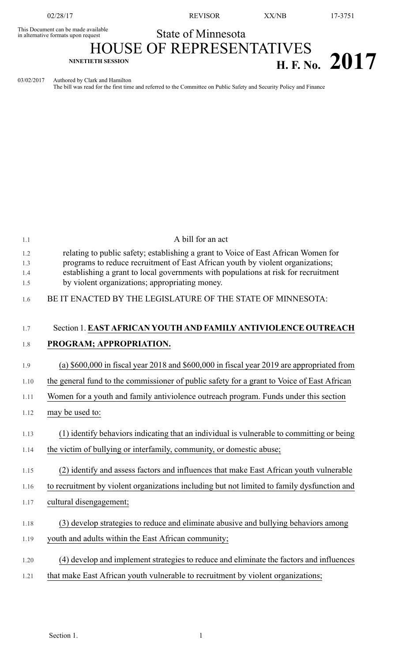02/28/17 REVISOR XX/NB 17-3751

## State of Minnesota

This Document can be made available<br>in alternative formats upon request

# HOUSE OF REPRESENTATIVES **H. F.** No. **2017**

03/02/2017 Authored by Clark and Hamilton

The bill was read for the first time and referred to the Committee on Public Safety and Security Policy and Finance

| 1.1               | A bill for an act                                                                                                                                                                                                                                          |
|-------------------|------------------------------------------------------------------------------------------------------------------------------------------------------------------------------------------------------------------------------------------------------------|
| 1.2<br>1.3<br>1.4 | relating to public safety; establishing a grant to Voice of East African Women for<br>programs to reduce recruitment of East African youth by violent organizations;<br>establishing a grant to local governments with populations at risk for recruitment |
| 1.5               | by violent organizations; appropriating money.                                                                                                                                                                                                             |
| 1.6               | BE IT ENACTED BY THE LEGISLATURE OF THE STATE OF MINNESOTA:                                                                                                                                                                                                |
| 1.7               | Section 1. EAST AFRICAN YOUTH AND FAMILY ANTIVIOLENCE OUTREACH                                                                                                                                                                                             |
| 1.8               | PROGRAM; APPROPRIATION.                                                                                                                                                                                                                                    |
| 1.9               | (a) $$600,000$ in fiscal year 2018 and $$600,000$ in fiscal year 2019 are appropriated from                                                                                                                                                                |
| 1.10              | the general fund to the commissioner of public safety for a grant to Voice of East African                                                                                                                                                                 |
| 1.11              | Women for a youth and family antiviolence outreach program. Funds under this section                                                                                                                                                                       |
| 1.12              | may be used to:                                                                                                                                                                                                                                            |
| 1.13              | (1) identify behaviors indicating that an individual is vulnerable to committing or being                                                                                                                                                                  |
| 1.14              | the victim of bullying or interfamily, community, or domestic abuse;                                                                                                                                                                                       |
| 1.15              | (2) identify and assess factors and influences that make East African youth vulnerable                                                                                                                                                                     |
| 1.16              | to recruitment by violent organizations including but not limited to family dysfunction and                                                                                                                                                                |
| 1.17              | cultural disengagement;                                                                                                                                                                                                                                    |
| 1.18              | (3) develop strategies to reduce and eliminate abusive and bullying behaviors among                                                                                                                                                                        |
| 1.19              | youth and adults within the East African community;                                                                                                                                                                                                        |
| 1.20              | (4) develop and implement strategies to reduce and eliminate the factors and influences                                                                                                                                                                    |
| 1.21              | that make East African youth vulnerable to recruitment by violent organizations;                                                                                                                                                                           |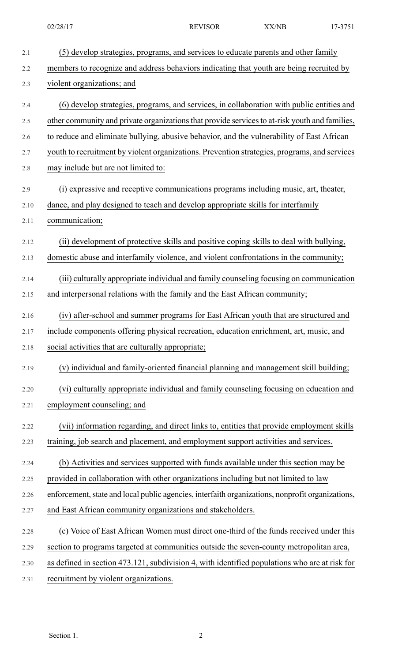| 2.1  | (5) develop strategies, programs, and services to educate parents and other family               |
|------|--------------------------------------------------------------------------------------------------|
| 2.2  | members to recognize and address behaviors indicating that youth are being recruited by          |
| 2.3  | violent organizations; and                                                                       |
| 2.4  | (6) develop strategies, programs, and services, in collaboration with public entities and        |
| 2.5  | other community and private organizations that provide services to at-risk youth and families,   |
| 2.6  | to reduce and eliminate bullying, abusive behavior, and the vulnerability of East African        |
| 2.7  | youth to recruitment by violent organizations. Prevention strategies, programs, and services     |
| 2.8  | may include but are not limited to:                                                              |
| 2.9  | (i) expressive and receptive communications programs including music, art, theater,              |
| 2.10 | dance, and play designed to teach and develop appropriate skills for interfamily                 |
| 2.11 | communication;                                                                                   |
| 2.12 | (ii) development of protective skills and positive coping skills to deal with bullying,          |
| 2.13 | domestic abuse and interfamily violence, and violent confrontations in the community;            |
| 2.14 | (iii) culturally appropriate individual and family counseling focusing on communication          |
| 2.15 | and interpersonal relations with the family and the East African community;                      |
| 2.16 | (iv) after-school and summer programs for East African youth that are structured and             |
| 2.17 | include components offering physical recreation, education enrichment, art, music, and           |
| 2.18 | social activities that are culturally appropriate;                                               |
| 2.19 | (v) individual and family-oriented financial planning and management skill building;             |
| 2.20 | (vi) culturally appropriate individual and family counseling focusing on education and           |
| 2.21 | employment counseling; and                                                                       |
| 2.22 | (vii) information regarding, and direct links to, entities that provide employment skills        |
| 2.23 | training, job search and placement, and employment support activities and services.              |
| 2.24 | (b) Activities and services supported with funds available under this section may be             |
| 2.25 | provided in collaboration with other organizations including but not limited to law              |
| 2.26 | enforcement, state and local public agencies, interfaith organizations, nonprofit organizations, |
| 2.27 | and East African community organizations and stakeholders.                                       |
| 2.28 | (c) Voice of East African Women must direct one-third of the funds received under this           |
| 2.29 | section to programs targeted at communities outside the seven-county metropolitan area,          |
| 2.30 | as defined in section 473.121, subdivision 4, with identified populations who are at risk for    |
| 2.31 | recruitment by violent organizations.                                                            |